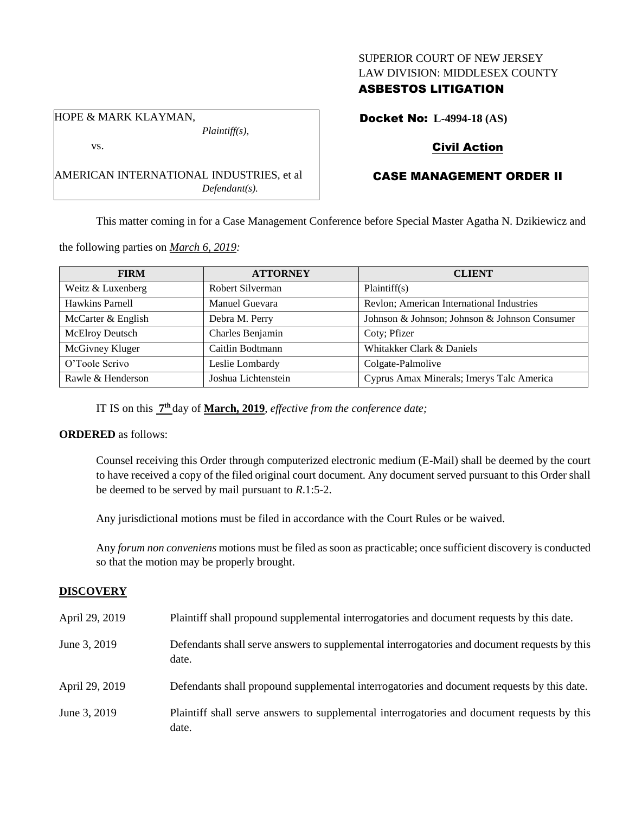## SUPERIOR COURT OF NEW JERSEY LAW DIVISION: MIDDLESEX COUNTY

## ASBESTOS LITIGATION

HOPE & MARK KLAYMAN, *Plaintiff(s),*

vs.

AMERICAN INTERNATIONAL INDUSTRIES, et al *Defendant(s).*

Docket No: **L-4994-18 (AS)**

## Civil Action

# CASE MANAGEMENT ORDER II

This matter coming in for a Case Management Conference before Special Master Agatha N. Dzikiewicz and

the following parties on *March 6, 2019:*

| <b>FIRM</b>            | <b>ATTORNEY</b>     | <b>CLIENT</b>                                 |
|------------------------|---------------------|-----------------------------------------------|
| Weitz & Luxenberg      | Robert Silverman    | Plaintiff(s)                                  |
| Hawkins Parnell        | Manuel Guevara      | Revlon; American International Industries     |
| McCarter & English     | Debra M. Perry      | Johnson & Johnson; Johnson & Johnson Consumer |
| <b>McElroy Deutsch</b> | Charles Benjamin    | Coty; Pfizer                                  |
| McGivney Kluger        | Caitlin Bodtmann    | Whitakker Clark & Daniels                     |
| O'Toole Scrivo         | Leslie Lombardy     | Colgate-Palmolive                             |
| Rawle & Henderson      | Joshua Lichtenstein | Cyprus Amax Minerals; Imerys Talc America     |

IT IS on this **7 th** day of **March, 2019**, *effective from the conference date;*

## **ORDERED** as follows:

Counsel receiving this Order through computerized electronic medium (E-Mail) shall be deemed by the court to have received a copy of the filed original court document. Any document served pursuant to this Order shall be deemed to be served by mail pursuant to *R*.1:5-2.

Any jurisdictional motions must be filed in accordance with the Court Rules or be waived.

Any *forum non conveniens* motions must be filed as soon as practicable; once sufficient discovery is conducted so that the motion may be properly brought.

## **DISCOVERY**

| April 29, 2019 | Plaintiff shall propound supplemental interrogatories and document requests by this date.             |
|----------------|-------------------------------------------------------------------------------------------------------|
| June 3, 2019   | Defendants shall serve answers to supplemental interrogatories and document requests by this<br>date. |
| April 29, 2019 | Defendants shall propound supplemental interrogatories and document requests by this date.            |
| June 3, 2019   | Plaintiff shall serve answers to supplemental interrogatories and document requests by this<br>date.  |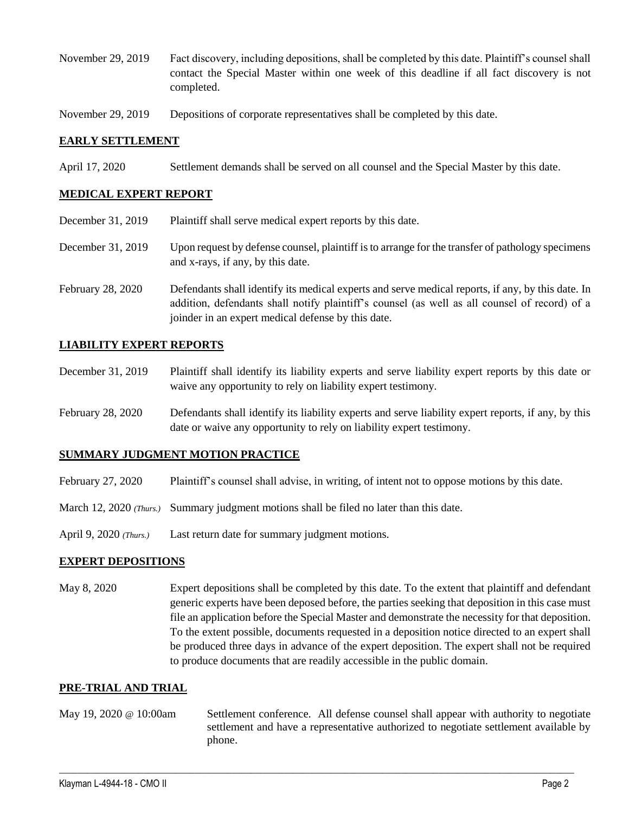- November 29, 2019 Fact discovery, including depositions, shall be completed by this date. Plaintiff's counsel shall contact the Special Master within one week of this deadline if all fact discovery is not completed.
- November 29, 2019 Depositions of corporate representatives shall be completed by this date.

#### **EARLY SETTLEMENT**

April 17, 2020 Settlement demands shall be served on all counsel and the Special Master by this date.

#### **MEDICAL EXPERT REPORT**

- December 31, 2019 Plaintiff shall serve medical expert reports by this date.
- December 31, 2019 Upon request by defense counsel, plaintiff is to arrange for the transfer of pathology specimens and x-rays, if any, by this date.
- February 28, 2020 Defendants shall identify its medical experts and serve medical reports, if any, by this date. In addition, defendants shall notify plaintiff's counsel (as well as all counsel of record) of a joinder in an expert medical defense by this date.

#### **LIABILITY EXPERT REPORTS**

- December 31, 2019 Plaintiff shall identify its liability experts and serve liability expert reports by this date or waive any opportunity to rely on liability expert testimony.
- February 28, 2020 Defendants shall identify its liability experts and serve liability expert reports, if any, by this date or waive any opportunity to rely on liability expert testimony.

#### **SUMMARY JUDGMENT MOTION PRACTICE**

- February 27, 2020 Plaintiff's counsel shall advise, in writing, of intent not to oppose motions by this date.
- March 12, 2020 (Thurs.) Summary judgment motions shall be filed no later than this date.
- April 9, 2020 *(Thurs.)* Last return date for summary judgment motions.

#### **EXPERT DEPOSITIONS**

May 8, 2020 Expert depositions shall be completed by this date. To the extent that plaintiff and defendant generic experts have been deposed before, the parties seeking that deposition in this case must file an application before the Special Master and demonstrate the necessity for that deposition. To the extent possible, documents requested in a deposition notice directed to an expert shall be produced three days in advance of the expert deposition. The expert shall not be required to produce documents that are readily accessible in the public domain.

#### **PRE-TRIAL AND TRIAL**

May 19, 2020 @ 10:00am Settlement conference. All defense counsel shall appear with authority to negotiate settlement and have a representative authorized to negotiate settlement available by phone.

 $\_$  ,  $\_$  ,  $\_$  ,  $\_$  ,  $\_$  ,  $\_$  ,  $\_$  ,  $\_$  ,  $\_$  ,  $\_$  ,  $\_$  ,  $\_$  ,  $\_$  ,  $\_$  ,  $\_$  ,  $\_$  ,  $\_$  ,  $\_$  ,  $\_$  ,  $\_$  ,  $\_$  ,  $\_$  ,  $\_$  ,  $\_$  ,  $\_$  ,  $\_$  ,  $\_$  ,  $\_$  ,  $\_$  ,  $\_$  ,  $\_$  ,  $\_$  ,  $\_$  ,  $\_$  ,  $\_$  ,  $\_$  ,  $\_$  ,